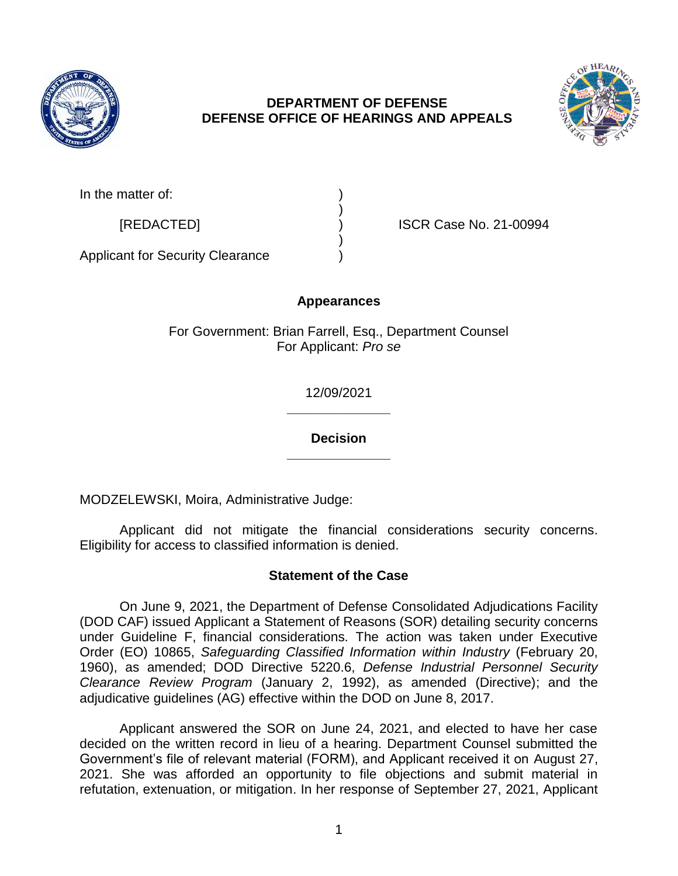

# **DEPARTMENT OF DEFENSE DEFENSE OFFICE OF HEARINGS AND APPEALS**



[REDACTED] ) ISCR Case No. 21-00994

Applicant for Security Clearance )

# **Appearances**

)

)

For Government: Brian Farrell, Esq., Department Counsel For Applicant: *Pro se* 

> **\_\_\_\_\_\_\_\_\_\_\_\_\_\_**  12/09/2021

> **\_\_\_\_\_\_\_\_\_\_\_\_\_\_ Decision**

MODZELEWSKI, Moira, Administrative Judge:

 Applicant did not mitigate the financial considerations security concerns. Eligibility for access to classified information is denied.

# **Statement of the Case**

 On June 9, 2021, the Department of Defense Consolidated Adjudications Facility (DOD CAF) issued Applicant a Statement of Reasons (SOR) detailing security concerns under Guideline F, financial considerations. The action was taken under Executive  Order (EO) 10865, *Safeguarding Classified Information within Industry* (February 20, *Clearance Review Program* (January 2, 1992), as amended (Directive); and the 1960), as amended; DOD Directive 5220.6, *Defense Industrial Personnel Security*  adjudicative guidelines (AG) effective within the DOD on June 8, 2017.

 Applicant answered the SOR on June 24, 2021, and elected to have her case decided on the written record in lieu of a hearing. Department Counsel submitted the Government's file of relevant material (FORM), and Applicant received it on August 27, 2021. She was afforded an opportunity to file objections and submit material in refutation, extenuation, or mitigation. In her response of September 27, 2021, Applicant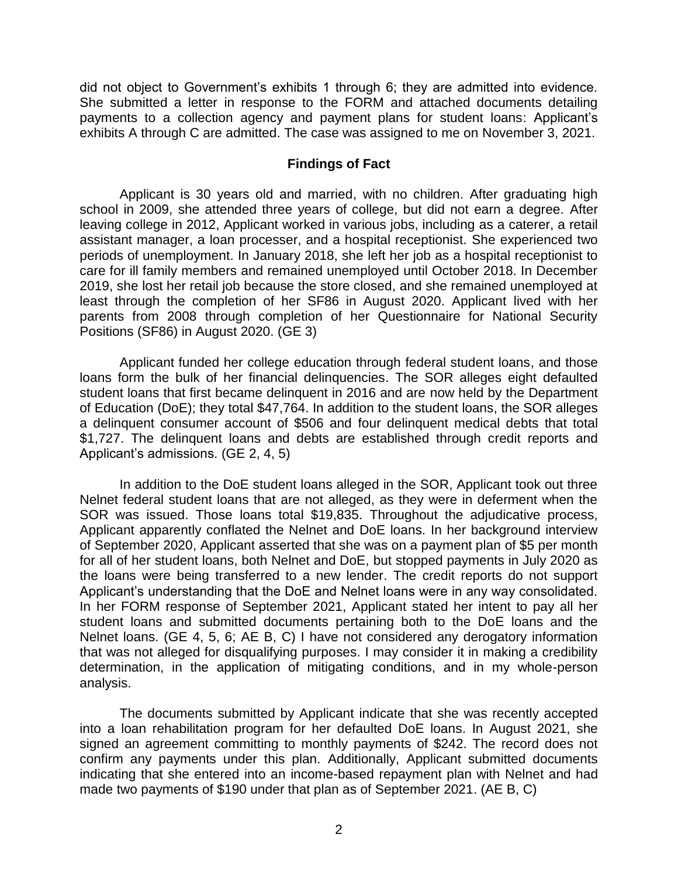did not object to Government's exhibits 1 through 6; they are admitted into evidence. She submitted a letter in response to the FORM and attached documents detailing payments to a collection agency and payment plans for student loans: Applicant's exhibits A through C are admitted. The case was assigned to me on November 3, 2021.

#### **Findings of Fact**

 Applicant is 30 years old and married, with no children. After graduating high school in 2009, she attended three years of college, but did not earn a degree. After leaving college in 2012, Applicant worked in various jobs, including as a caterer, a retail assistant manager, a loan processer, and a hospital receptionist. She experienced two periods of unemployment. In January 2018, she left her job as a hospital receptionist to care for ill family members and remained unemployed until October 2018. In December 2019, she lost her retail job because the store closed, and she remained unemployed at least through the completion of her SF86 in August 2020. Applicant lived with her parents from 2008 through completion of her Questionnaire for National Security Positions (SF86) in August 2020. (GE 3)

 Applicant funded her college education through federal student loans, and those loans form the bulk of her financial delinquencies. The SOR alleges eight defaulted student loans that first became delinquent in 2016 and are now held by the Department a delinquent consumer account of \$506 and four delinquent medical debts that total \$1,727. The delinquent loans and debts are established through credit reports and of Education (DoE); they total \$47,764. In addition to the student loans, the SOR alleges Applicant's admissions. (GE 2, 4, 5)

 In addition to the DoE student loans alleged in the SOR, Applicant took out three Nelnet federal student loans that are not alleged, as they were in deferment when the SOR was issued. Those loans total \$19,835. Throughout the adjudicative process, Applicant apparently conflated the Nelnet and DoE loans. In her background interview for all of her student loans, both Nelnet and DoE, but stopped payments in July 2020 as the loans were being transferred to a new lender. The credit reports do not support Applicant's understanding that the DoE and Nelnet loans were in any way consolidated. In her FORM response of September 2021, Applicant stated her intent to pay all her student loans and submitted documents pertaining both to the DoE loans and the Nelnet loans. (GE 4, 5, 6; AE B, C) I have not considered any derogatory information that was not alleged for disqualifying purposes. I may consider it in making a credibility determination, in the application of mitigating conditions, and in my whole-person of September 2020, Applicant asserted that she was on a payment plan of \$5 per month analysis.

 The documents submitted by Applicant indicate that she was recently accepted into a loan rehabilitation program for her defaulted DoE loans. In August 2021, she signed an agreement committing to monthly payments of \$242. The record does not confirm any payments under this plan. Additionally, Applicant submitted documents indicating that she entered into an income-based repayment plan with Nelnet and had made two payments of \$190 under that plan as of September 2021. (AE B, C)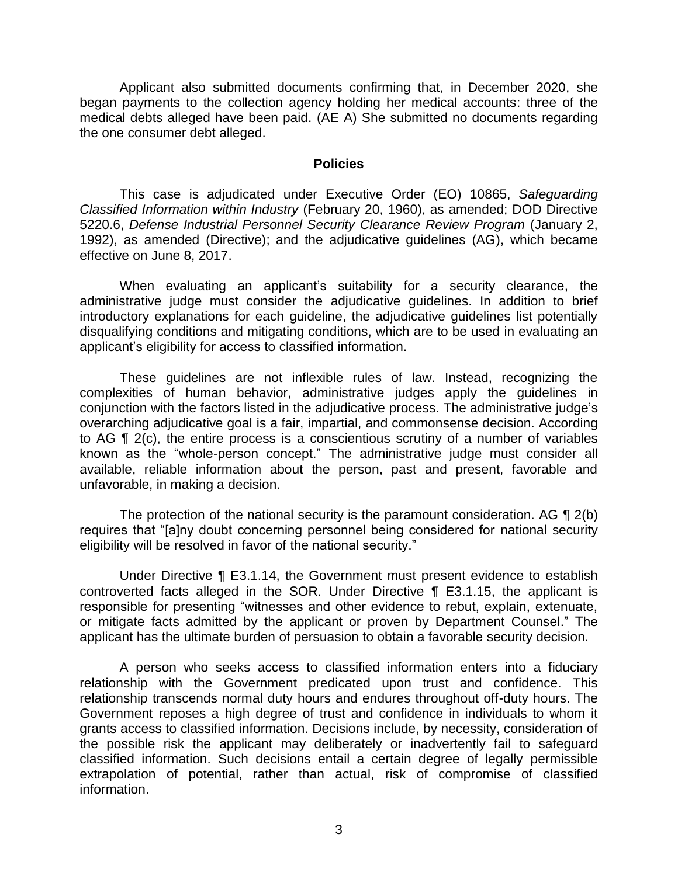began payments to the collection agency holding her medical accounts: three of the medical debts alleged have been paid. (AE A) She submitted no documents regarding Applicant also submitted documents confirming that, in December 2020, she the one consumer debt alleged.

#### **Policies**

 *Classified Information within Industry* (February 20, 1960), as amended; DOD Directive 5220.6, *Defense Industrial Personnel Security Clearance Review Program* (January 2, 1992), as amended (Directive); and the adjudicative guidelines (AG), which became This case is adjudicated under Executive Order (EO) 10865, *Safeguarding*  effective on June 8, 2017.

 When evaluating an applicant's suitability for a security clearance, the administrative judge must consider the adjudicative guidelines. In addition to brief introductory explanations for each guideline, the adjudicative guidelines list potentially disqualifying conditions and mitigating conditions, which are to be used in evaluating an applicant's eligibility for access to classified information.

 These guidelines are not inflexible rules of law. Instead, recognizing the complexities of human behavior, administrative judges apply the guidelines in conjunction with the factors listed in the adjudicative process. The administrative judge's overarching adjudicative goal is a fair, impartial, and commonsense decision. According to AG ¶ 2(c), the entire process is a conscientious scrutiny of a number of variables known as the "whole-person concept." The administrative judge must consider all available, reliable information about the person, past and present, favorable and unfavorable, in making a decision.

The protection of the national security is the paramount consideration. AG  $\P$  2(b) eligibility will be resolved in favor of the national security." requires that "[a]ny doubt concerning personnel being considered for national security

 Under Directive ¶ E3.1.14, the Government must present evidence to establish controverted facts alleged in the SOR. Under Directive ¶ E3.1.15, the applicant is responsible for presenting "witnesses and other evidence to rebut, explain, extenuate, or mitigate facts admitted by the applicant or proven by Department Counsel." The applicant has the ultimate burden of persuasion to obtain a favorable security decision.

 A person who seeks access to classified information enters into a fiduciary relationship with the Government predicated upon trust and confidence. This relationship transcends normal duty hours and endures throughout off-duty hours. The Government reposes a high degree of trust and confidence in individuals to whom it grants access to classified information. Decisions include, by necessity, consideration of the possible risk the applicant may deliberately or inadvertently fail to safeguard classified information. Such decisions entail a certain degree of legally permissible extrapolation of potential, rather than actual, risk of compromise of classified information.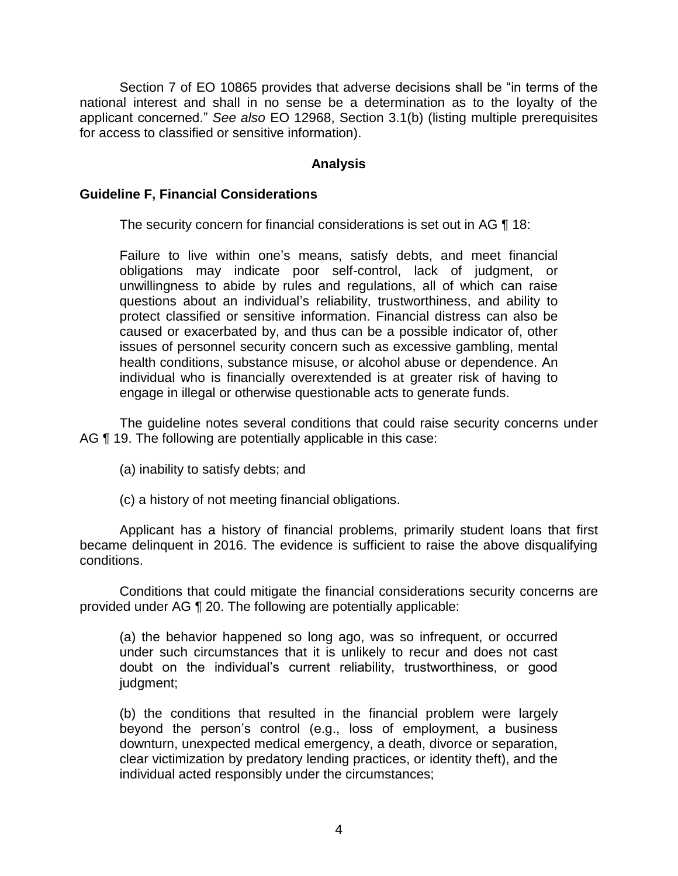Section 7 of EO 10865 provides that adverse decisions shall be "in terms of the national interest and shall in no sense be a determination as to the loyalty of the applicant concerned." *See also* EO 12968, Section 3.1(b) (listing multiple prerequisites for access to classified or sensitive information).

## **Analysis**

#### **Guideline F, Financial Considerations**

The security concern for financial considerations is set out in AG ¶ 18:

 Failure to live within one's means, satisfy debts, and meet financial obligations may indicate poor self-control, lack of judgment, or unwillingness to abide by rules and regulations, all of which can raise questions about an individual's reliability, trustworthiness, and ability to protect classified or sensitive information. Financial distress can also be caused or exacerbated by, and thus can be a possible indicator of, other issues of personnel security concern such as excessive gambling, mental individual who is financially overextended is at greater risk of having to health conditions, substance misuse, or alcohol abuse or dependence. An engage in illegal or otherwise questionable acts to generate funds.

 The guideline notes several conditions that could raise security concerns under AG ¶ 19. The following are potentially applicable in this case:

- (a) inability to satisfy debts; and
- (c) a history of not meeting financial obligations.

 Applicant has a history of financial problems, primarily student loans that first became delinquent in 2016. The evidence is sufficient to raise the above disqualifying conditions.

 provided under AG ¶ 20. The following are potentially applicable: Conditions that could mitigate the financial considerations security concerns are

(a) the behavior happened so long ago, was so infrequent, or occurred under such circumstances that it is unlikely to recur and does not cast doubt on the individual's current reliability, trustworthiness, or good judgment;

(b) the conditions that resulted in the financial problem were largely beyond the person's control (e.g., loss of employment, a business downturn, unexpected medical emergency, a death, divorce or separation, clear victimization by predatory lending practices, or identity theft), and the individual acted responsibly under the circumstances;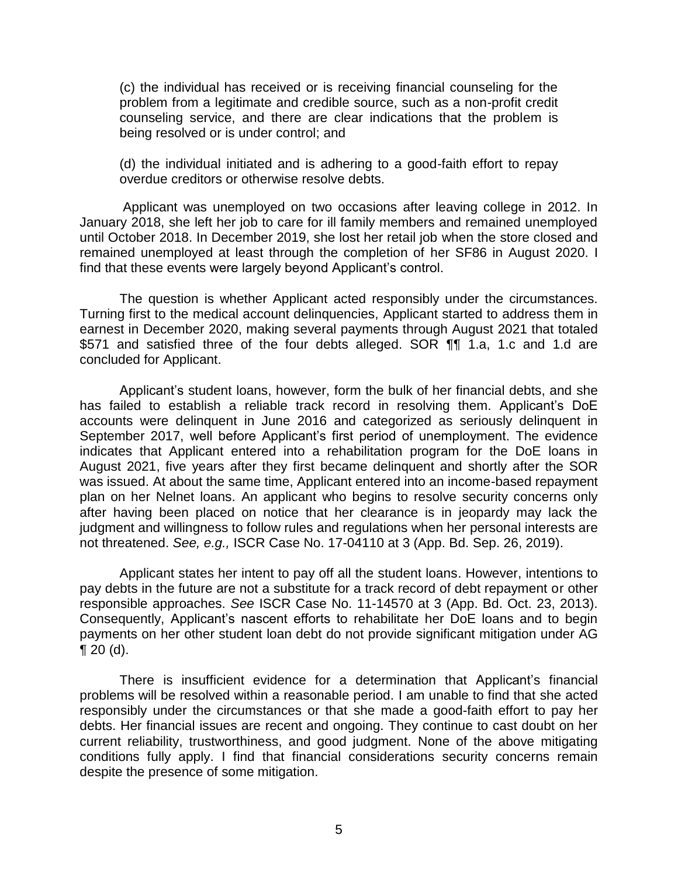(c) the individual has received or is receiving financial counseling for the problem from a legitimate and credible source, such as a non-profit credit counseling service, and there are clear indications that the problem is being resolved or is under control; and

(d) the individual initiated and is adhering to a good-faith effort to repay overdue creditors or otherwise resolve debts.

 Applicant was unemployed on two occasions after leaving college in 2012. In January 2018, she left her job to care for ill family members and remained unemployed until October 2018. In December 2019, she lost her retail job when the store closed and remained unemployed at least through the completion of her SF86 in August 2020. I find that these events were largely beyond Applicant's control.

 The question is whether Applicant acted responsibly under the circumstances. Turning first to the medical account delinquencies, Applicant started to address them in \$571 and satisfied three of the four debts alleged. SOR ¶¶ 1.a, 1.c and 1.d are earnest in December 2020, making several payments through August 2021 that totaled concluded for Applicant.

 Applicant's student loans, however, form the bulk of her financial debts, and she has failed to establish a reliable track record in resolving them. Applicant's DoE accounts were delinquent in June 2016 and categorized as seriously delinquent in September 2017, well before Applicant's first period of unemployment. The evidence indicates that Applicant entered into a rehabilitation program for the DoE loans in August 2021, five years after they first became delinquent and shortly after the SOR plan on her Nelnet loans. An applicant who begins to resolve security concerns only after having been placed on notice that her clearance is in jeopardy may lack the was issued. At about the same time, Applicant entered into an income-based repayment judgment and willingness to follow rules and regulations when her personal interests are not threatened. *See, e.g.,* ISCR Case No. 17-04110 at 3 (App. Bd. Sep. 26, 2019).

 Applicant states her intent to pay off all the student loans. However, intentions to pay debts in the future are not a substitute for a track record of debt repayment or other responsible approaches. *See* ISCR Case No. 11-14570 at 3 (App. Bd. Oct. 23, 2013). Consequently, Applicant's nascent efforts to rehabilitate her DoE loans and to begin payments on her other student loan debt do not provide significant mitigation under AG  $\P$  20 (d).

 There is insufficient evidence for a determination that Applicant's financial problems will be resolved within a reasonable period. I am unable to find that she acted responsibly under the circumstances or that she made a good-faith effort to pay her debts. Her financial issues are recent and ongoing. They continue to cast doubt on her current reliability, trustworthiness, and good judgment. None of the above mitigating conditions fully apply. I find that financial considerations security concerns remain despite the presence of some mitigation.